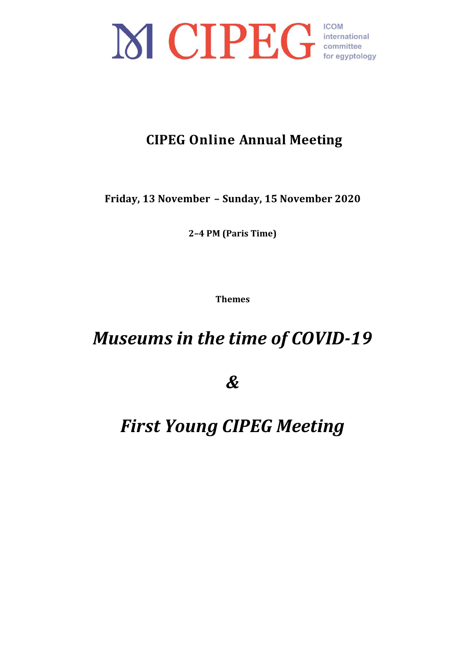

## **CIPEG Online Annual Meeting**

**Friday, 13 November – Sunday, 15 November 2020**

**2–4 PM (Paris Time)**

**Themes**

# **Museums in the time of COVID-19**

*&*

# **First Young CIPEG Meeting**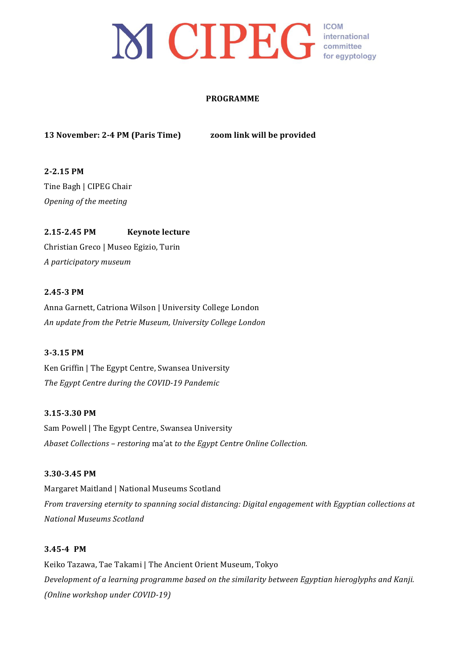## **ICOM** MCIPEG international for eqyptology

#### **PROGRAMME**

## **13 November: 2-4 PM (Paris Time)** *zoom link will be provided*

**2-2.15 PM** Tine Bagh | CIPEG Chair *Opening of the meeting*

**2.15-2.45 PM Keynote lecture** Christian Greco | Museo Egizio, Turin *A participatory museum*

### **2.45-3 PM**

Anna Garnett, Catriona Wilson | University College London *An update from the Petrie Museum, University College London*

### **3-3.15 PM**

Ken Griffin | The Egypt Centre, Swansea University The Egypt Centre during the COVID-19 Pandemic

### **3.15-3.30 PM**

Sam Powell | The Egypt Centre, Swansea University *Abaset Collections – restoring* ma'at *to the Egypt Centre Online Collection.* 

### **3.30-3.45 PM**

Margaret Maitland | National Museums Scotland *From traversing eternity to spanning social distancing: Digital engagement with Egyptian collections at National Museums Scotland*

### **3.45-4 PM**

Keiko Tazawa, Tae Takami | The Ancient Orient Museum, Tokyo *Development of a learning programme based on the similarity between Egyptian hieroglyphs and Kanji. (Online workshop under COVID-19)*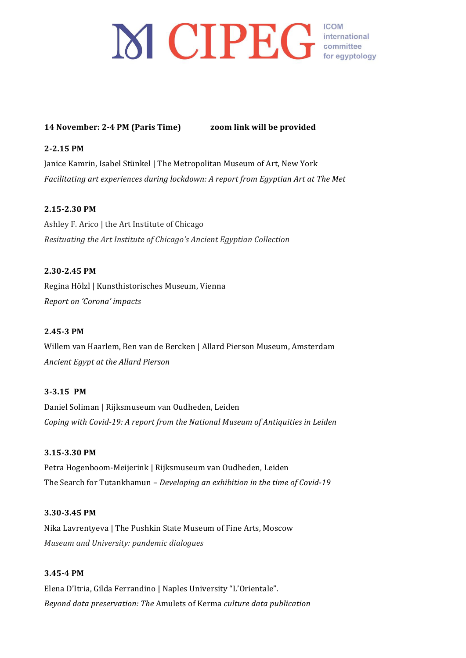## **14 November: 2-4 PM (Paris Time) zoom link will be provided**

### **2-2.15 PM**

Janice Kamrin, Isabel Stünkel | The Metropolitan Museum of Art, New York *Facilitating art experiences during lockdown: A report from Egyptian Art at The Met* 

### **2.15-2.30 PM**

Ashley F. Arico | the Art Institute of Chicago *Resituating the Art Institute of Chicago's Ancient Egyptian Collection* 

### **2.30-2.45 PM**

Regina Hölzl | Kunsthistorisches Museum, Vienna *Report on 'Corona' impacts*

### **2.45-3 PM**

Willem van Haarlem, Ben van de Bercken | Allard Pierson Museum, Amsterdam *Ancient Egypt at the Allard Pierson*

## **3-3.15 PM**

Daniel Soliman | Rijksmuseum van Oudheden, Leiden *Coping with Covid-19: A report from the National Museum of Antiquities in Leiden* 

### **3.15-3.30 PM**

Petra Hogenboom-Meijerink | Rijksmuseum van Oudheden, Leiden The Search for Tutankhamun - *Developing an exhibition in the time of Covid-19* 

### **3.30-3.45 PM**

Nika Lavrentyeva | The Pushkin State Museum of Fine Arts, Moscow *Museum and University: pandemic dialogues*

### **3.45-4 PM**

Elena D'Itria, Gilda Ferrandino | Naples University "L'Orientale". *Beyond data preservation: The* Amulets of Kerma *culture data publication*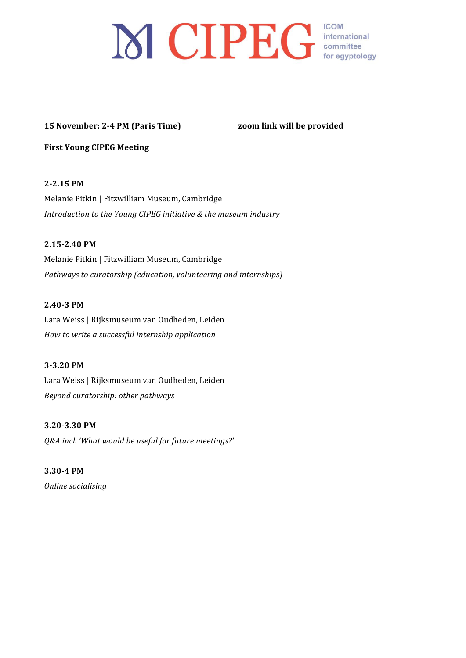# 

## **15 November: 2-4 PM (Paris Time)** *zoom link will be provided*

**First Young CIPEG Meeting** 

## **2-2.15 PM**

Melanie Pitkin | Fitzwilliam Museum, Cambridge *Introduction to the Young CIPEG initiative & the museum industry* 

## **2.15-2.40 PM**

Melanie Pitkin | Fitzwilliam Museum, Cambridge *Pathways to curatorship (education, volunteering and internships)* 

## **2.40-3 PM**

Lara Weiss | Rijksmuseum van Oudheden, Leiden *How to write a successful internship application*

## **3-3.20 PM**

Lara Weiss | Rijksmuseum van Oudheden, Leiden *Beyond curatorship: other pathways*

### **3.20-3.30 PM**

*Q&A incl. 'What would be useful for future meetings?'*

**3.30-4 PM** *Online socialising*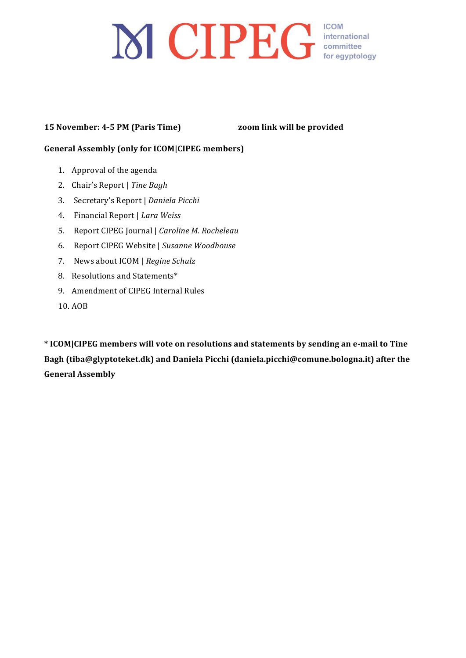# 

## **15 November: 4-5 PM (Paris Time)** *zoom link will be provided*

## **General Assembly (only for ICOM|CIPEG members)**

- 1. Approval of the agenda
- 2. Chair's Report | Tine Bagh
- 3. Secretary's Report | *Daniela Picchi*
- 4. Financial Report | *Lara Weiss*
- 5. Report CIPEG Journal | *Caroline M. Rocheleau*
- 6. Report CIPEG Website | Susanne Woodhouse
- 7. News about ICOM | Regine Schulz
- 8. Resolutions and Statements\*
- 9. Amendment of CIPEG Internal Rules
- 10. AOB

\* ICOM|CIPEG members will vote on resolutions and statements by sending an e-mail to Tine Bagh (tiba@glyptoteket.dk) and Daniela Picchi (daniela.picchi@comune.bologna.it) after the **General Assembly**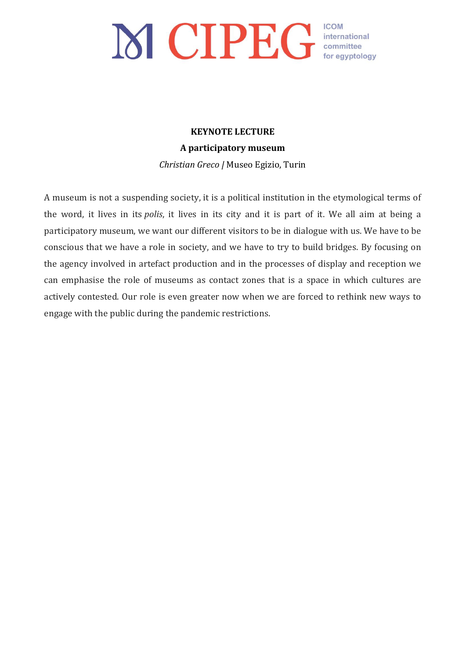# MCIPEG COM COM COM COMPUTER

## **KEYNOTE LECTURE A participatory museum** *Christian Greco |* Museo Egizio, Turin

A museum is not a suspending society, it is a political institution in the etymological terms of the word, it lives in its *polis*, it lives in its city and it is part of it. We all aim at being a participatory museum, we want our different visitors to be in dialogue with us. We have to be conscious that we have a role in society, and we have to try to build bridges. By focusing on the agency involved in artefact production and in the processes of display and reception we can emphasise the role of museums as contact zones that is a space in which cultures are actively contested. Our role is even greater now when we are forced to rethink new ways to engage with the public during the pandemic restrictions.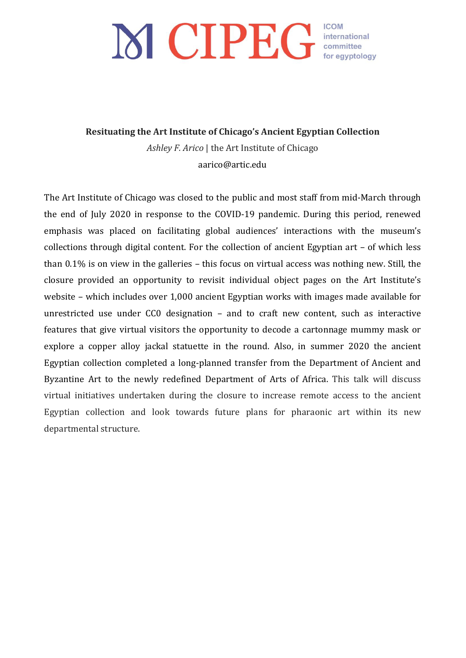**Resituating the Art Institute of Chicago's Ancient Egyptian Collection** 

Ashley *F. Arico* | the Art Institute of Chicago aarico@artic.edu

The Art Institute of Chicago was closed to the public and most staff from mid-March through the end of July 2020 in response to the COVID-19 pandemic. During this period, renewed emphasis was placed on facilitating global audiences' interactions with the museum's collections through digital content. For the collection of ancient Egyptian art  $-$  of which less than  $0.1\%$  is on view in the galleries – this focus on virtual access was nothing new. Still, the closure provided an opportunity to revisit individual object pages on the Art Institute's website – which includes over  $1,000$  ancient Egyptian works with images made available for unrestricted use under  $CC0$  designation  $-$  and to craft new content, such as interactive features that give virtual visitors the opportunity to decode a cartonnage mummy mask or explore a copper alloy jackal statuette in the round. Also, in summer 2020 the ancient Egyptian collection completed a long-planned transfer from the Department of Ancient and Byzantine Art to the newly redefined Department of Arts of Africa. This talk will discuss virtual initiatives undertaken during the closure to increase remote access to the ancient Egyptian collection and look towards future plans for pharaonic art within its new departmental structure.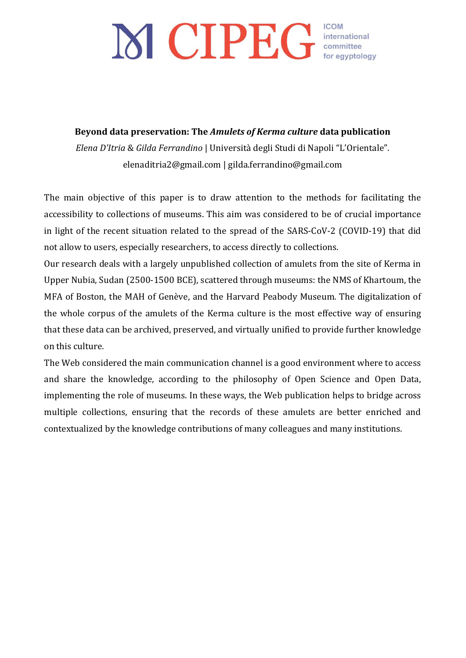**Beyond data preservation: The** *Amulets of Kerma culture* **data publication**

*Elena D'Itria* & *Gilda Ferrandino* | Università degli Studi di Napoli "L'Orientale". elenaditria2@gmail.com | gilda.ferrandino@gmail.com

The main objective of this paper is to draw attention to the methods for facilitating the accessibility to collections of museums. This aim was considered to be of crucial importance in light of the recent situation related to the spread of the SARS-CoV-2 (COVID-19) that did not allow to users, especially researchers, to access directly to collections.

Our research deals with a largely unpublished collection of amulets from the site of Kerma in Upper Nubia, Sudan (2500-1500 BCE), scattered through museums: the NMS of Khartoum, the MFA of Boston, the MAH of Genève, and the Harvard Peabody Museum. The digitalization of the whole corpus of the amulets of the Kerma culture is the most effective way of ensuring that these data can be archived, preserved, and virtually unified to provide further knowledge on this culture.

The Web considered the main communication channel is a good environment where to access and share the knowledge, according to the philosophy of Open Science and Open Data, implementing the role of museums. In these ways, the Web publication helps to bridge across multiple collections, ensuring that the records of these amulets are better enriched and contextualized by the knowledge contributions of many colleagues and many institutions.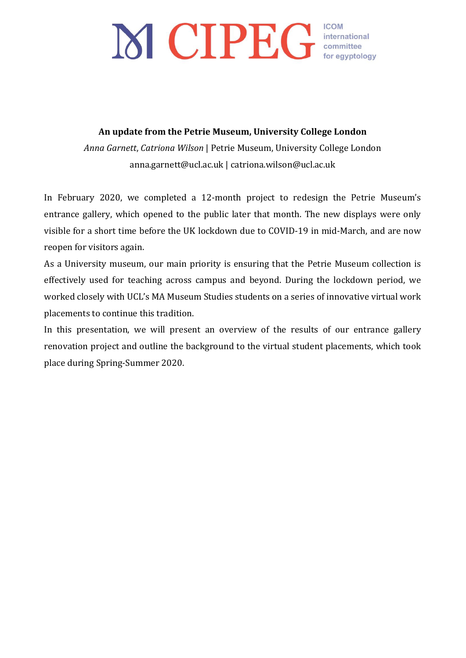## An update from the Petrie Museum, University College London

Anna Garnett, Catriona Wilson | Petrie Museum, University College London anna.garnett@ucl.ac.uk | catriona.wilson@ucl.ac.uk

In February 2020, we completed a 12-month project to redesign the Petrie Museum's entrance gallery, which opened to the public later that month. The new displays were only visible for a short time before the UK lockdown due to COVID-19 in mid-March, and are now reopen for visitors again.

As a University museum, our main priority is ensuring that the Petrie Museum collection is effectively used for teaching across campus and beyond. During the lockdown period, we worked closely with UCL's MA Museum Studies students on a series of innovative virtual work placements to continue this tradition.

In this presentation, we will present an overview of the results of our entrance gallery renovation project and outline the background to the virtual student placements, which took place during Spring-Summer 2020.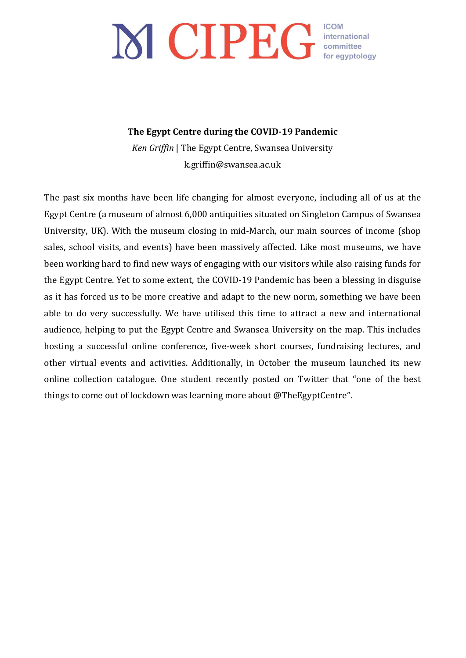## **The Egypt Centre during the COVID-19 Pandemic**

*Ken Griffin* | The Egypt Centre, Swansea University k.griffin@swansea.ac.uk

The past six months have been life changing for almost everyone, including all of us at the Egypt Centre (a museum of almost 6,000 antiquities situated on Singleton Campus of Swansea University, UK). With the museum closing in mid-March, our main sources of income (shop sales, school visits, and events) have been massively affected. Like most museums, we have been working hard to find new ways of engaging with our visitors while also raising funds for the Egypt Centre. Yet to some extent, the COVID-19 Pandemic has been a blessing in disguise as it has forced us to be more creative and adapt to the new norm, something we have been able to do very successfully. We have utilised this time to attract a new and international audience, helping to put the Egypt Centre and Swansea University on the map. This includes hosting a successful online conference, five-week short courses, fundraising lectures, and other virtual events and activities. Additionally, in October the museum launched its new online collection catalogue. One student recently posted on Twitter that "one of the best things to come out of lockdown was learning more about @TheEgyptCentre".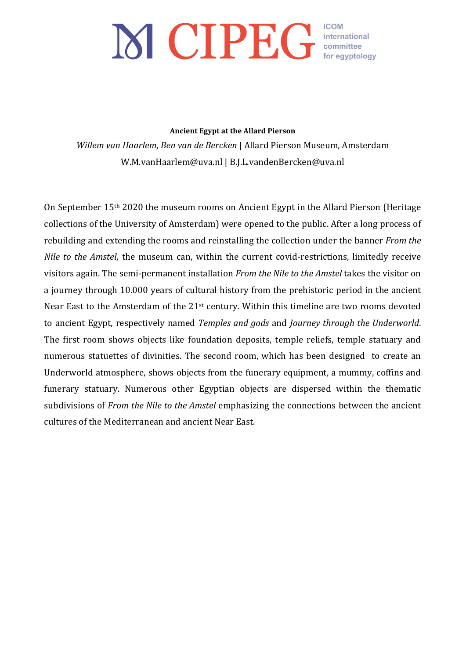#### **Ancient Egypt at the Allard Pierson**

*Willem van Haarlem, Ben van de Bercken* | Allard Pierson Museum, Amsterdam W.M.vanHaarlem@uva.nl | B.J.L.vandenBercken@uva.nl

On September  $15<sup>th</sup>$  2020 the museum rooms on Ancient Egypt in the Allard Pierson (Heritage collections of the University of Amsterdam) were opened to the public. After a long process of rebuilding and extending the rooms and reinstalling the collection under the banner *From the Nile to the Amstel*, the museum can, within the current covid-restrictions, limitedly receive visitors again. The semi-permanent installation *From the Nile to the Amstel* takes the visitor on a journey through 10.000 years of cultural history from the prehistoric period in the ancient Near East to the Amsterdam of the  $21<sup>st</sup>$  century. Within this timeline are two rooms devoted to ancient Egypt, respectively named *Temples and gods* and *Journey through the Underworld*. The first room shows objects like foundation deposits, temple reliefs, temple statuary and numerous statuettes of divinities. The second room, which has been designed to create an Underworld atmosphere, shows objects from the funerary equipment, a mummy, coffins and funerary statuary. Numerous other Egyptian objects are dispersed within the thematic subdivisions of *From the Nile to the Amstel* emphasizing the connections between the ancient cultures of the Mediterranean and ancient Near East.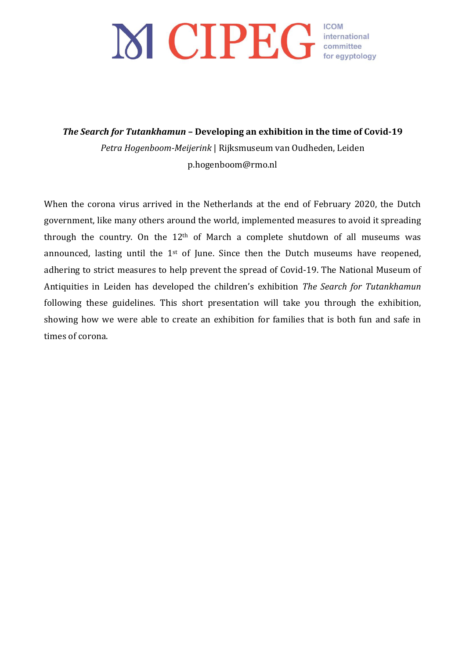# MCIPEG COM COM COM COMPUTER

**The Search for Tutankhamun - Developing an exhibition in the time of Covid-19** Petra Hogenboom-Meijerink | Rijksmuseum van Oudheden, Leiden p.hogenboom@rmo.nl

When the corona virus arrived in the Netherlands at the end of February 2020, the Dutch government, like many others around the world, implemented measures to avoid it spreading through the country. On the  $12<sup>th</sup>$  of March a complete shutdown of all museums was announced, lasting until the  $1<sup>st</sup>$  of June. Since then the Dutch museums have reopened, adhering to strict measures to help prevent the spread of Covid-19. The National Museum of Antiquities in Leiden has developed the children's exhibition *The Search for Tutankhamun* following these guidelines. This short presentation will take you through the exhibition, showing how we were able to create an exhibition for families that is both fun and safe in times of corona.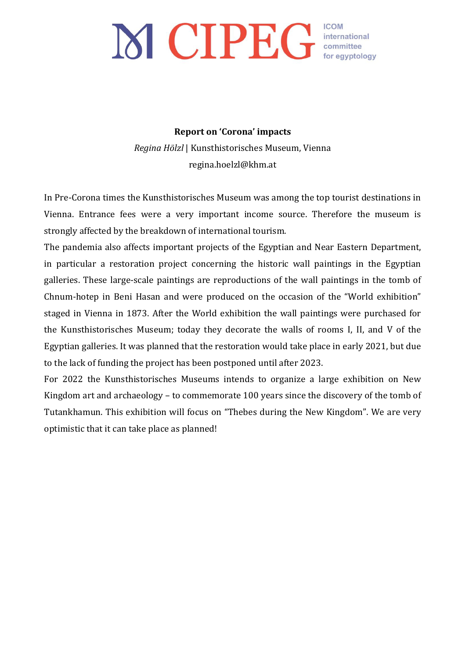## **Report on 'Corona' impacts**

*Regina Hölzl* | Kunsthistorisches Museum, Vienna regina.hoelzl@khm.at

In Pre-Corona times the Kunsthistorisches Museum was among the top tourist destinations in Vienna. Entrance fees were a very important income source. Therefore the museum is strongly affected by the breakdown of international tourism.

The pandemia also affects important projects of the Egyptian and Near Eastern Department, in particular a restoration project concerning the historic wall paintings in the Egyptian galleries. These large-scale paintings are reproductions of the wall paintings in the tomb of Chnum-hotep in Beni Hasan and were produced on the occasion of the "World exhibition" staged in Vienna in 1873. After the World exhibition the wall paintings were purchased for the Kunsthistorisches Museum; today they decorate the walls of rooms I, II, and V of the Egyptian galleries. It was planned that the restoration would take place in early 2021, but due to the lack of funding the project has been postponed until after 2023.

For 2022 the Kunsthistorisches Museums intends to organize a large exhibition on New Kingdom art and archaeology  $-$  to commemorate 100 years since the discovery of the tomb of Tutankhamun. This exhibition will focus on "Thebes during the New Kingdom". We are very optimistic that it can take place as planned!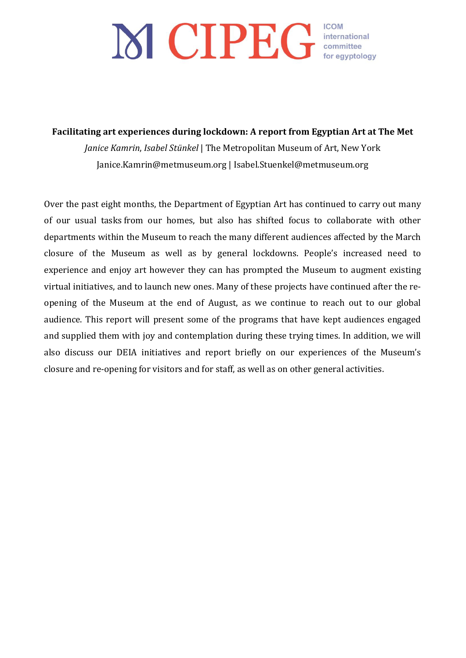Facilitating art experiences during lockdown: A report from Egyptian Art at The Met

*Janice Kamrin, Isabel Stünkel* | The Metropolitan Museum of Art, New York Janice.Kamrin@metmuseum.org | Isabel.Stuenkel@metmuseum.org

Over the past eight months, the Department of Egyptian Art has continued to carry out many of our usual tasks from our homes, but also has shifted focus to collaborate with other departments within the Museum to reach the many different audiences affected by the March closure of the Museum as well as by general lockdowns. People's increased need to experience and enjoy art however they can has prompted the Museum to augment existing virtual initiatives, and to launch new ones. Many of these projects have continued after the reopening of the Museum at the end of August, as we continue to reach out to our global audience. This report will present some of the programs that have kept audiences engaged and supplied them with joy and contemplation during these trying times. In addition, we will also discuss our DEIA initiatives and report briefly on our experiences of the Museum's closure and re-opening for visitors and for staff, as well as on other general activities.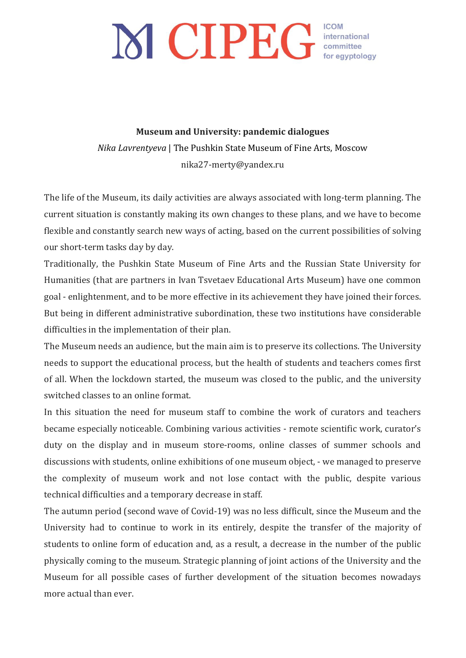**Museum and University: pandemic dialogues** *Nika Lavrentyeva* | The Pushkin State Museum of Fine Arts, Moscow nika27-merty@yandex.ru

The life of the Museum, its daily activities are always associated with long-term planning. The current situation is constantly making its own changes to these plans, and we have to become flexible and constantly search new ways of acting, based on the current possibilities of solving our short-term tasks day by day.

Traditionally, the Pushkin State Museum of Fine Arts and the Russian State University for Humanities (that are partners in Ivan Tsvetaev Educational Arts Museum) have one common goal - enlightenment, and to be more effective in its achievement they have joined their forces. But being in different administrative subordination, these two institutions have considerable difficulties in the implementation of their plan.

The Museum needs an audience, but the main aim is to preserve its collections. The University needs to support the educational process, but the health of students and teachers comes first of all. When the lockdown started, the museum was closed to the public, and the university switched classes to an online format.

In this situation the need for museum staff to combine the work of curators and teachers became especially noticeable. Combining various activities - remote scientific work, curator's duty on the display and in museum store-rooms, online classes of summer schools and discussions with students, online exhibitions of one museum object, - we managed to preserve the complexity of museum work and not lose contact with the public, despite various technical difficulties and a temporary decrease in staff.

The autumn period (second wave of Covid-19) was no less difficult, since the Museum and the University had to continue to work in its entirely, despite the transfer of the majority of students to online form of education and, as a result, a decrease in the number of the public physically coming to the museum. Strategic planning of joint actions of the University and the Museum for all possible cases of further development of the situation becomes nowadays more actual than ever.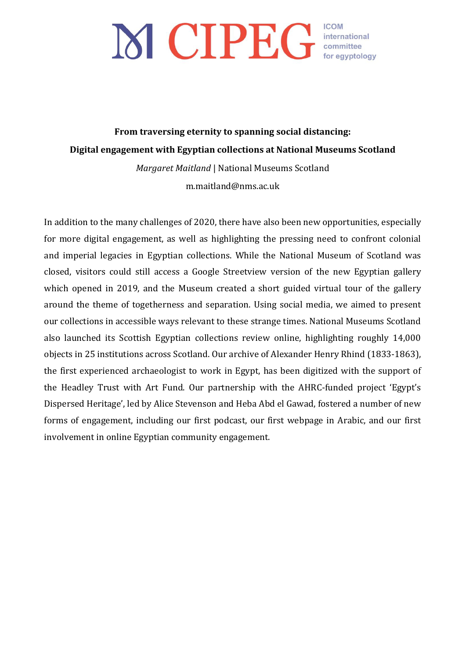From traversing eternity to spanning social distancing: **Digital engagement with Egyptian collections at National Museums Scotland** 

> *Margaret Maitland* | National Museums Scotland m.maitland@nms.ac.uk

In addition to the many challenges of 2020, there have also been new opportunities, especially for more digital engagement, as well as highlighting the pressing need to confront colonial and imperial legacies in Egyptian collections. While the National Museum of Scotland was closed, visitors could still access a Google Streetview version of the new Egyptian gallery which opened in 2019, and the Museum created a short guided virtual tour of the gallery around the theme of togetherness and separation. Using social media, we aimed to present our collections in accessible ways relevant to these strange times. National Museums Scotland also launched its Scottish Egyptian collections review online, highlighting roughly 14,000 objects in 25 institutions across Scotland. Our archive of Alexander Henry Rhind (1833-1863), the first experienced archaeologist to work in Egypt, has been digitized with the support of the Headley Trust with Art Fund. Our partnership with the AHRC-funded project 'Egypt's Dispersed Heritage', led by Alice Stevenson and Heba Abd el Gawad, fostered a number of new forms of engagement, including our first podcast, our first webpage in Arabic, and our first involvement in online Egyptian community engagement.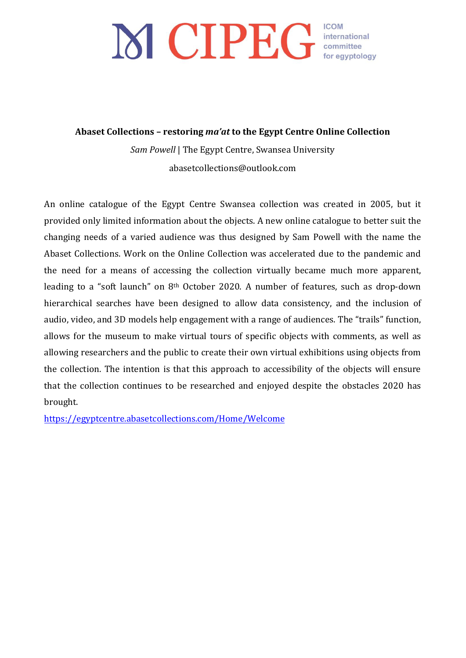Abaset Collections - restoring ma'at to the Egypt Centre Online Collection

Sam Powell | The Egypt Centre, Swansea University abasetcollections@outlook.com

An online catalogue of the Egypt Centre Swansea collection was created in 2005, but it provided only limited information about the objects. A new online catalogue to better suit the changing needs of a varied audience was thus designed by Sam Powell with the name the Abaset Collections. Work on the Online Collection was accelerated due to the pandemic and the need for a means of accessing the collection virtually became much more apparent, leading to a "soft launch" on  $8<sup>th</sup>$  October 2020. A number of features, such as drop-down hierarchical searches have been designed to allow data consistency, and the inclusion of audio, video, and 3D models help engagement with a range of audiences. The "trails" function, allows for the museum to make virtual tours of specific objects with comments, as well as allowing researchers and the public to create their own virtual exhibitions using objects from the collection. The intention is that this approach to accessibility of the objects will ensure that the collection continues to be researched and enjoyed despite the obstacles 2020 has brought.

https://egyptcentre.abasetcollections.com/Home/Welcome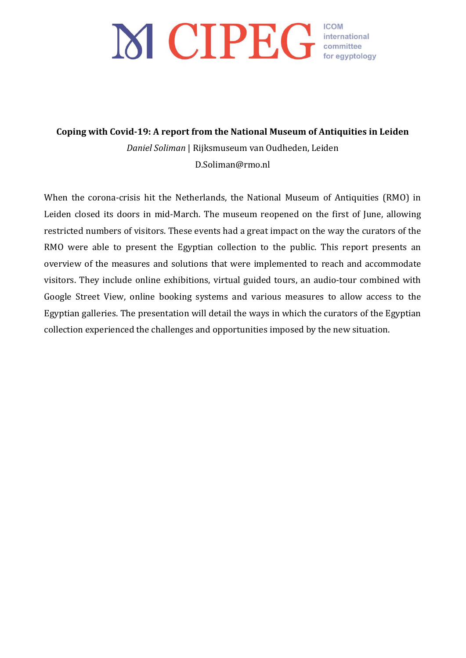# MCIPEG COM COM COM COMPUTER

Coping with Covid-19: A report from the National Museum of Antiquities in Leiden *Daniel Soliman* | Rijksmuseum van Oudheden, Leiden D.Soliman@rmo.nl

When the corona-crisis hit the Netherlands, the National Museum of Antiquities (RMO) in Leiden closed its doors in mid-March. The museum reopened on the first of June, allowing restricted numbers of visitors. These events had a great impact on the way the curators of the RMO were able to present the Egyptian collection to the public. This report presents an overview of the measures and solutions that were implemented to reach and accommodate visitors. They include online exhibitions, virtual guided tours, an audio-tour combined with Google Street View, online booking systems and various measures to allow access to the Egyptian galleries. The presentation will detail the ways in which the curators of the Egyptian collection experienced the challenges and opportunities imposed by the new situation.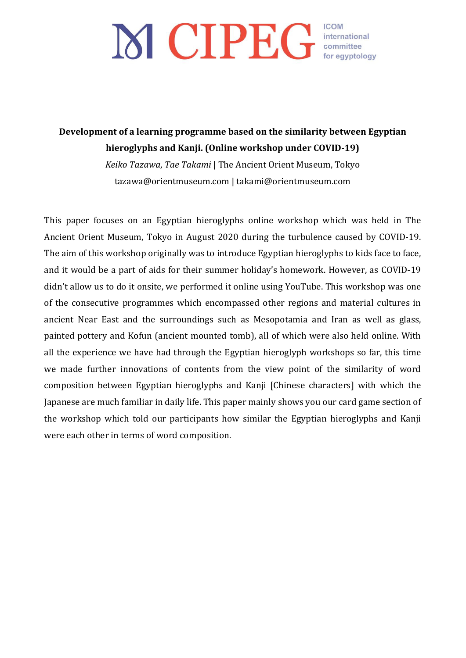## **Development of a learning programme based on the similarity between Egyptian** hieroglyphs and Kanji. (Online workshop under COVID-19)

*Keiko Tazawa, Tae Takami* | The Ancient Orient Museum, Tokyo tazawa@orientmuseum.com | takami@orientmuseum.com

This paper focuses on an Egyptian hieroglyphs online workshop which was held in The Ancient Orient Museum, Tokyo in August 2020 during the turbulence caused by COVID-19. The aim of this workshop originally was to introduce Egyptian hieroglyphs to kids face to face, and it would be a part of aids for their summer holiday's homework. However, as COVID-19 didn't allow us to do it onsite, we performed it online using YouTube. This workshop was one of the consecutive programmes which encompassed other regions and material cultures in ancient Near East and the surroundings such as Mesopotamia and Iran as well as glass, painted pottery and Kofun (ancient mounted tomb), all of which were also held online. With all the experience we have had through the Egyptian hieroglyph workshops so far, this time we made further innovations of contents from the view point of the similarity of word composition between Egyptian hieroglyphs and Kanji [Chinese characters] with which the Japanese are much familiar in daily life. This paper mainly shows you our card game section of the workshop which told our participants how similar the Egyptian hieroglyphs and Kanji were each other in terms of word composition.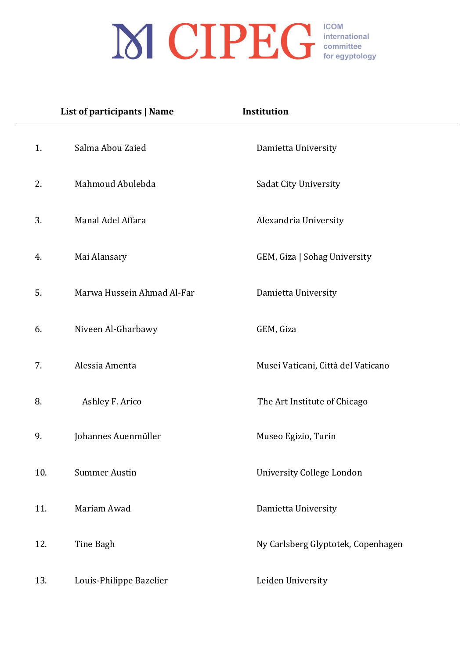|     | List of participants   Name | Institution                        |
|-----|-----------------------------|------------------------------------|
| 1.  | Salma Abou Zaied            | Damietta University                |
| 2.  | Mahmoud Abulebda            | Sadat City University              |
| 3.  | Manal Adel Affara           | Alexandria University              |
| 4.  | Mai Alansary                | GEM, Giza   Sohag University       |
| 5.  | Marwa Hussein Ahmad Al-Far  | Damietta University                |
| 6.  | Niveen Al-Gharbawy          | GEM, Giza                          |
| 7.  | Alessia Amenta              | Musei Vaticani, Città del Vaticano |
| 8.  | Ashley F. Arico             | The Art Institute of Chicago       |
| 9.  | Johannes Auenmüller         | Museo Egizio, Turin                |
| 10. | <b>Summer Austin</b>        | <b>University College London</b>   |
| 11. | Mariam Awad                 | Damietta University                |
| 12. | Tine Bagh                   | Ny Carlsberg Glyptotek, Copenhagen |
| 13. | Louis-Philippe Bazelier     | Leiden University                  |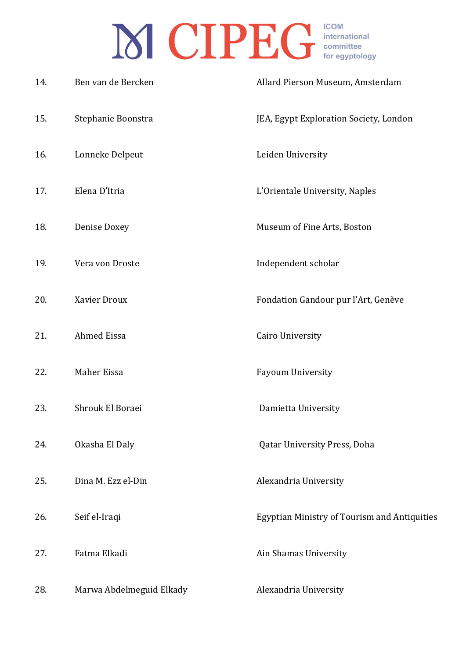| 14. | Ben van de Bercken       | Allard Pierson Museum, Amsterdam                    |
|-----|--------------------------|-----------------------------------------------------|
| 15. | Stephanie Boonstra       | JEA, Egypt Exploration Society, London              |
| 16. | Lonneke Delpeut          | Leiden University                                   |
| 17. | Elena D'Itria            | L'Orientale University, Naples                      |
| 18. | Denise Doxey             | Museum of Fine Arts, Boston                         |
| 19. | Vera von Droste          | Independent scholar                                 |
| 20. | Xavier Droux             | Fondation Gandour pur l'Art, Genève                 |
| 21. | Ahmed Eissa              | Cairo University                                    |
| 22. | Maher Eissa              | Fayoum University                                   |
| 23. | Shrouk El Boraei         | Damietta University                                 |
| 24. | Okasha El Daly           | <b>Qatar University Press, Doha</b>                 |
| 25. | Dina M. Ezz el-Din       | Alexandria University                               |
| 26. | Seif el-Iraqi            | <b>Egyptian Ministry of Tourism and Antiquities</b> |
| 27. | Fatma Elkadi             | Ain Shamas University                               |
| 28. | Marwa Abdelmeguid Elkady | Alexandria University                               |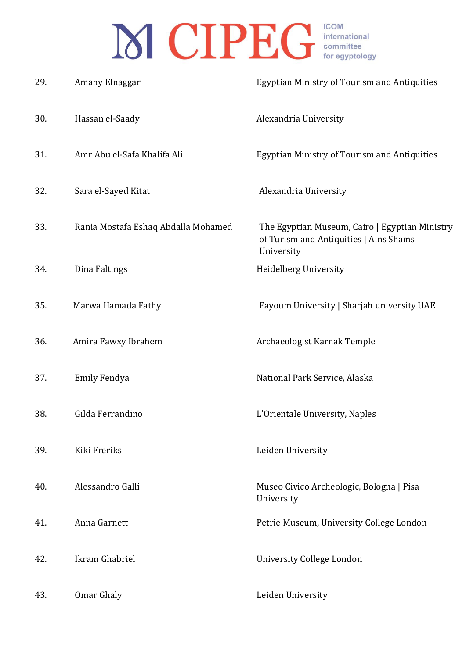| 29. | Amany Elnaggar                      | <b>Egyptian Ministry of Tourism and Antiquities</b>                                                    |
|-----|-------------------------------------|--------------------------------------------------------------------------------------------------------|
| 30. | Hassan el-Saady                     | Alexandria University                                                                                  |
| 31. | Amr Abu el-Safa Khalifa Ali         | <b>Egyptian Ministry of Tourism and Antiquities</b>                                                    |
| 32. | Sara el-Sayed Kitat                 | Alexandria University                                                                                  |
| 33. | Rania Mostafa Eshaq Abdalla Mohamed | The Egyptian Museum, Cairo   Egyptian Ministry<br>of Turism and Antiquities   Ains Shams<br>University |
| 34. | Dina Faltings                       | Heidelberg University                                                                                  |
| 35. | Marwa Hamada Fathy                  | Fayoum University   Sharjah university UAE                                                             |
| 36. | Amira Fawxy Ibrahem                 | Archaeologist Karnak Temple                                                                            |
| 37. | Emily Fendya                        | National Park Service, Alaska                                                                          |
| 38. | Gilda Ferrandino                    | L'Orientale University, Naples                                                                         |
| 39. | Kiki Freriks                        | Leiden University                                                                                      |
| 40. | Alessandro Galli                    | Museo Civico Archeologic, Bologna   Pisa<br>University                                                 |
| 41. | Anna Garnett                        | Petrie Museum, University College London                                                               |
| 42. | Ikram Ghabriel                      | University College London                                                                              |
| 43. | Omar Ghaly                          | Leiden University                                                                                      |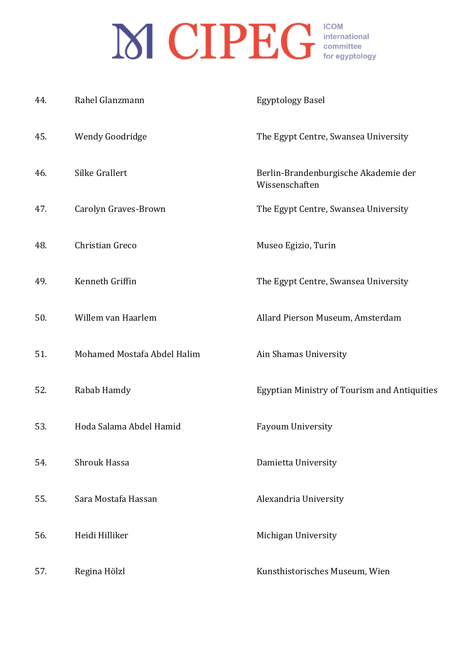| 44. | Rahel Glanzmann             | <b>Egyptology Basel</b>                                |
|-----|-----------------------------|--------------------------------------------------------|
| 45. | Wendy Goodridge             | The Egypt Centre, Swansea University                   |
| 46. | Silke Grallert              | Berlin-Brandenburgische Akademie der<br>Wissenschaften |
| 47. | Carolyn Graves-Brown        | The Egypt Centre, Swansea University                   |
| 48. | Christian Greco             | Museo Egizio, Turin                                    |
| 49. | Kenneth Griffin             | The Egypt Centre, Swansea University                   |
| 50. | Willem van Haarlem          | Allard Pierson Museum, Amsterdam                       |
| 51. | Mohamed Mostafa Abdel Halim | Ain Shamas University                                  |
| 52. | Rabab Hamdy                 | <b>Egyptian Ministry of Tourism and Antiquities</b>    |
| 53. | Hoda Salama Abdel Hamid     | Fayoum University                                      |
| 54. | Shrouk Hassa                | Damietta University                                    |
| 55. | Sara Mostafa Hassan         | Alexandria University                                  |
| 56. | Heidi Hilliker              | Michigan University                                    |
| 57. | Regina Hölzl                | Kunsthistorisches Museum, Wien                         |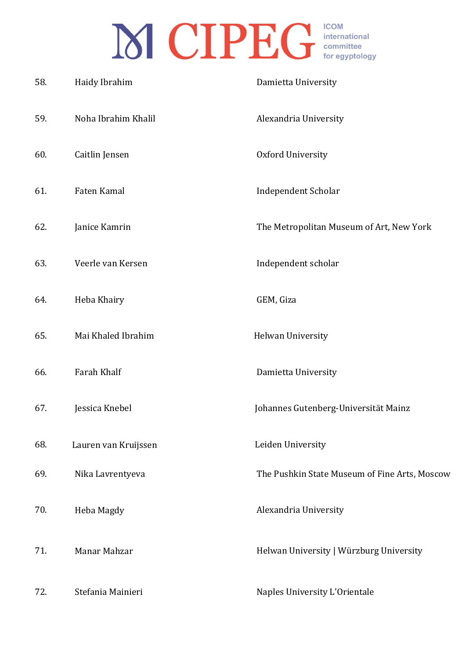| 58. | Haidy Ibrahim        | Damietta University                           |
|-----|----------------------|-----------------------------------------------|
| 59. | Noha Ibrahim Khalil  | Alexandria University                         |
| 60. | Caitlin Jensen       | Oxford University                             |
| 61. | Faten Kamal          | Independent Scholar                           |
| 62. | Janice Kamrin        | The Metropolitan Museum of Art, New York      |
| 63. | Veerle van Kersen    | Independent scholar                           |
| 64. | Heba Khairy          | GEM, Giza                                     |
| 65. | Mai Khaled Ibrahim   | Helwan University                             |
| 66. | Farah Khalf          | Damietta University                           |
| 67. | Jessica Knebel       | Johannes Gutenberg-Universität Mainz          |
| 68. | Lauren van Kruijssen | Leiden University                             |
| 69. | Nika Lavrentyeva     | The Pushkin State Museum of Fine Arts, Moscow |
| 70. | Heba Magdy           | Alexandria University                         |
| 71. | Manar Mahzar         | Helwan University   Würzburg University       |
| 72. | Stefania Mainieri    | Naples University L'Orientale                 |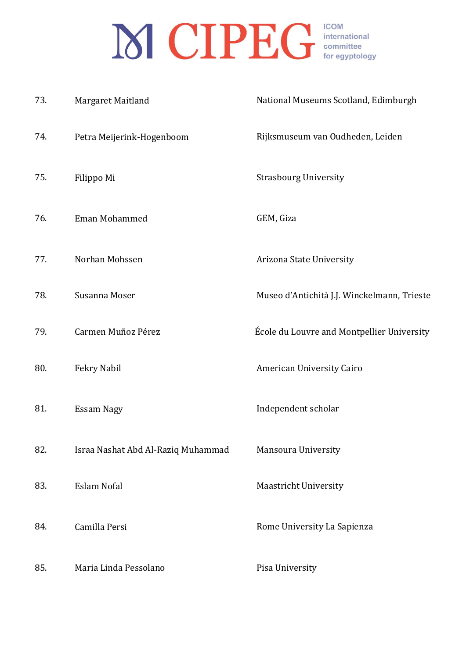| 73. | Margaret Maitland                  | National Museums Scotland, Edimburgh        |
|-----|------------------------------------|---------------------------------------------|
| 74. | Petra Meijerink-Hogenboom          | Rijksmuseum van Oudheden, Leiden            |
| 75. | Filippo Mi                         | <b>Strasbourg University</b>                |
| 76. | Eman Mohammed                      | GEM, Giza                                   |
| 77. | Norhan Mohssen                     | Arizona State University                    |
| 78. | Susanna Moser                      | Museo d'Antichità J.J. Winckelmann, Trieste |
| 79. | Carmen Muñoz Pérez                 | École du Louvre and Montpellier University  |
| 80. | Fekry Nabil                        | American University Cairo                   |
| 81. | <b>Essam Nagy</b>                  | Independent scholar                         |
| 82. | Israa Nashat Abd Al-Raziq Muhammad | Mansoura University                         |
| 83. | Eslam Nofal                        | <b>Maastricht University</b>                |
| 84. | Camilla Persi                      | Rome University La Sapienza                 |
| 85. | Maria Linda Pessolano              | Pisa University                             |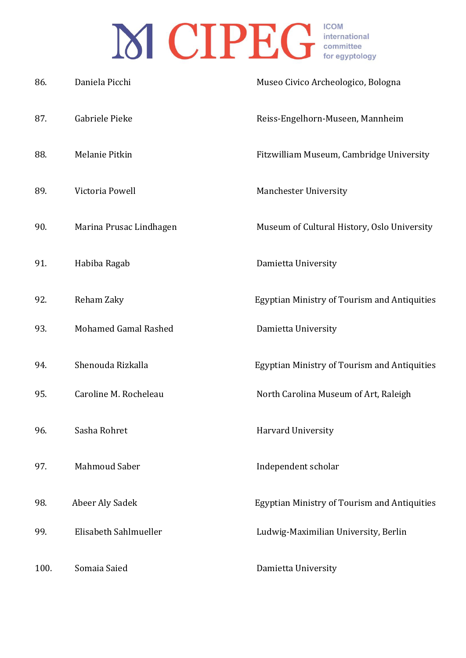| 86.  | Daniela Picchi              | Museo Civico Archeologico, Bologna                  |
|------|-----------------------------|-----------------------------------------------------|
| 87.  | Gabriele Pieke              | Reiss-Engelhorn-Museen, Mannheim                    |
| 88.  | Melanie Pitkin              | Fitzwilliam Museum, Cambridge University            |
| 89.  | Victoria Powell             | <b>Manchester University</b>                        |
| 90.  | Marina Prusac Lindhagen     | Museum of Cultural History, Oslo University         |
| 91.  | Habiba Ragab                | Damietta University                                 |
| 92.  | Reham Zaky                  | <b>Egyptian Ministry of Tourism and Antiquities</b> |
| 93.  | <b>Mohamed Gamal Rashed</b> | Damietta University                                 |
| 94.  | Shenouda Rizkalla           | <b>Egyptian Ministry of Tourism and Antiquities</b> |
| 95.  | Caroline M. Rocheleau       | North Carolina Museum of Art, Raleigh               |
| 96.  | Sasha Rohret                | Harvard University                                  |
| 97.  | <b>Mahmoud Saber</b>        | Independent scholar                                 |
| 98.  | Abeer Aly Sadek             | <b>Egyptian Ministry of Tourism and Antiquities</b> |
| 99.  | Elisabeth Sahlmueller       | Ludwig-Maximilian University, Berlin                |
| 100. | Somaia Saied                | Damietta University                                 |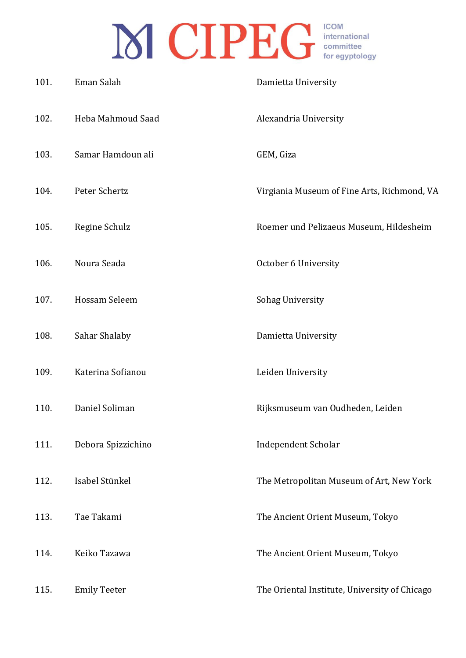| 101. | Eman Salah          | Damietta University                           |
|------|---------------------|-----------------------------------------------|
| 102. | Heba Mahmoud Saad   | Alexandria University                         |
| 103. | Samar Hamdoun ali   | GEM, Giza                                     |
| 104. | Peter Schertz       | Virgiania Museum of Fine Arts, Richmond, VA   |
| 105. | Regine Schulz       | Roemer und Pelizaeus Museum, Hildesheim       |
| 106. | Noura Seada         | October 6 University                          |
| 107. | Hossam Seleem       | Sohag University                              |
| 108. | Sahar Shalaby       | Damietta University                           |
| 109. | Katerina Sofianou   | Leiden University                             |
| 110. | Daniel Soliman      | Rijksmuseum van Oudheden, Leiden              |
| 111. | Debora Spizzichino  | Independent Scholar                           |
| 112. | Isabel Stünkel      | The Metropolitan Museum of Art, New York      |
| 113. | Tae Takami          | The Ancient Orient Museum, Tokyo              |
| 114. | Keiko Tazawa        | The Ancient Orient Museum, Tokyo              |
| 115. | <b>Emily Teeter</b> | The Oriental Institute, University of Chicago |